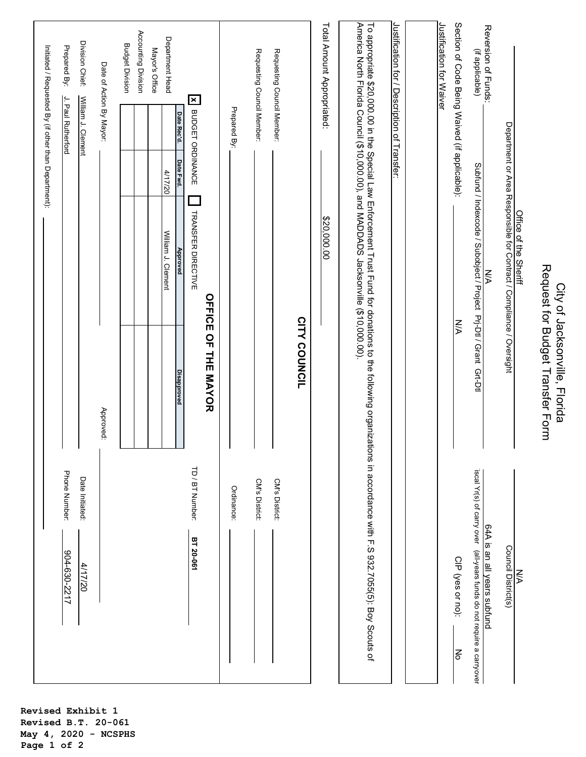| Phone Number:<br>904-630-2217                                                                                                                                                                                                       |                                                                   |                                                                          | Initiated / Requested By (if other than Department): | J. Paul Rutherford                            | Prepared By:                           |
|-------------------------------------------------------------------------------------------------------------------------------------------------------------------------------------------------------------------------------------|-------------------------------------------------------------------|--------------------------------------------------------------------------|------------------------------------------------------|-----------------------------------------------|----------------------------------------|
|                                                                                                                                                                                                                                     |                                                                   |                                                                          |                                                      |                                               |                                        |
| Date Initiated:<br>4/17/20                                                                                                                                                                                                          |                                                                   |                                                                          |                                                      | William J. Clement                            | Division Chief:                        |
|                                                                                                                                                                                                                                     | Approved:                                                         |                                                                          |                                                      | Date of Action By Mayor:                      |                                        |
|                                                                                                                                                                                                                                     |                                                                   |                                                                          |                                                      |                                               | <b>Budget Division</b>                 |
|                                                                                                                                                                                                                                     |                                                                   |                                                                          |                                                      |                                               | Accounting Division                    |
|                                                                                                                                                                                                                                     |                                                                   |                                                                          |                                                      |                                               | Mayor's Office                         |
|                                                                                                                                                                                                                                     |                                                                   | William J. Clement                                                       | 4/17/20                                              |                                               | Department Head                        |
| TD / BT Number:<br>BT 20-061                                                                                                                                                                                                        | <b>Disapproved</b>                                                | <b>TRANSFER DIRECTIVE</b><br>Approved                                    | X BUDGET ORDINANCE<br>Date Fwd.                      | Date Rec'd.                                   |                                        |
|                                                                                                                                                                                                                                     | <b>OFFICE OF THE MAYOR</b>                                        |                                                                          |                                                      |                                               |                                        |
| Ordinance:                                                                                                                                                                                                                          |                                                                   |                                                                          |                                                      | Prepared By:                                  |                                        |
| CM's District:                                                                                                                                                                                                                      |                                                                   |                                                                          |                                                      | Requesting Council Member:                    |                                        |
| CM's District:                                                                                                                                                                                                                      |                                                                   |                                                                          |                                                      | Requesting Council Member:                    |                                        |
|                                                                                                                                                                                                                                     | CITY COUNCIL                                                      |                                                                          |                                                      |                                               |                                        |
|                                                                                                                                                                                                                                     |                                                                   | \$20,000.00                                                              |                                                      | Total Amount Appropriated:                    |                                        |
| To appropriate \$20,000.00 in the Special Law Enforcement Trust Fund for donations to the following organizations in accordance with F.S 932.7055(5): Boy Scouts of<br>America North Florida Council (\$10,000.00), and MADDADS Jac |                                                                   |                                                                          |                                                      |                                               |                                        |
|                                                                                                                                                                                                                                     |                                                                   |                                                                          |                                                      | Justification for / Description of Transfer:  |                                        |
|                                                                                                                                                                                                                                     |                                                                   |                                                                          |                                                      |                                               |                                        |
|                                                                                                                                                                                                                                     |                                                                   |                                                                          |                                                      |                                               | Justification for Waiver               |
| CIP (yes or no):<br>No                                                                                                                                                                                                              | N/A                                                               |                                                                          |                                                      | Section of Code Being Waived (if applicable): |                                        |
| iscal Yr(s) of carry over (all-years funds do not require a carryover<br>64A is an all years subfund                                                                                                                                |                                                                   | Subfund / Indexcode / Subobject / Project Prj-Dtl / Grant Grt-Dtl<br>N/A |                                                      |                                               | Reversion of Funds:<br>(if applicable) |
| Council District(s)                                                                                                                                                                                                                 |                                                                   | Department or Area Responsible for Contract / Compliance / Oversight     |                                                      |                                               |                                        |
| NA                                                                                                                                                                                                                                  |                                                                   | Office of the Sheriff                                                    |                                                      |                                               |                                        |
|                                                                                                                                                                                                                                     | Request for Budget Transfer Form<br>City of Jacksonville, Florida |                                                                          |                                                      |                                               |                                        |

**Revised Exhibit 1 Revised B.T. 20-061 May 4, 2020 - NCSPHS Page 1 of 2**